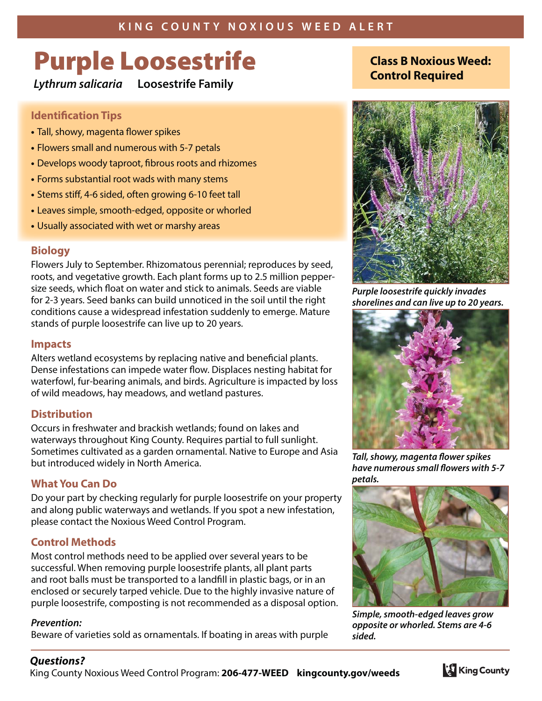# **Purple Loosestrife**

**Lythrum salicaria Loosestrife Family**

### **Identification Tips**

- Tall, showy, magenta flower spikes
- Flowers small and numerous with 5-7 petals
- Develops woody taproot, fibrous roots and rhizomes
- Forms substantial root wads with many stems
- Stems stiff, 4-6 sided, often growing 6-10 feet tall
- Leaves simple, smooth-edged, opposite or whorled
- Usually associated with wet or marshy areas

# **Biology**

Flowers July to September. Rhizomatous perennial; reproduces by seed, roots, and vegetative growth. Each plant forms up to 2.5 million peppersize seeds, which float on water and stick to animals. Seeds are viable for 2-3 years. Seed banks can build unnoticed in the soil until the right conditions cause a widespread infestation suddenly to emerge. Mature stands of purple loosestrife can live up to 20 years.

#### **Impacts**

Alters wetland ecosystems by replacing native and beneficial plants. Dense infestations can impede water flow. Displaces nesting habitat for waterfowl, fur-bearing animals, and birds. Agriculture is impacted by loss of wild meadows, hay meadows, and wetland pastures.

# **Distribution**

Occurs in freshwater and brackish wetlands; found on lakes and waterways throughout King County. Requires partial to full sunlight. Sometimes cultivated as a garden ornamental. Native to Europe and Asia but introduced widely in North America.

# **What You Can Do**

Do your part by checking regularly for purple loosestrife on your property and along public waterways and wetlands. If you spot a new infestation, please contact the Noxious Weed Control Program.

# **Control Methods**

Most control methods need to be applied over several years to be successful. When removing purple loosestrife plants, all plant parts and root balls must be transported to a landfill in plastic bags, or in an enclosed or securely tarped vehicle. Due to the highly invasive nature of purple loosestrife, composting is not recommended as a disposal option.

#### **Prevention:**

Beware of varieties sold as ornamentals. If boating in areas with purple

# **Class B Noxious Weed: Control Required**



**Purple loosestrife quickly invades shorelines and can live up to 20 years.**



**Tall, showy, magenta flower spikes have numerous small flowers with 5-7 petals.**



**Simple, smooth-edged leaves grow opposite or whorled. Stems are 4-6 sided.**